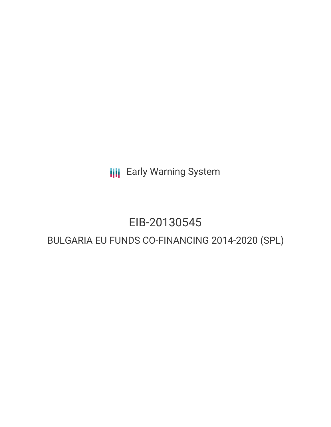**III** Early Warning System

## EIB-20130545

### BULGARIA EU FUNDS CO-FINANCING 2014-2020 (SPL)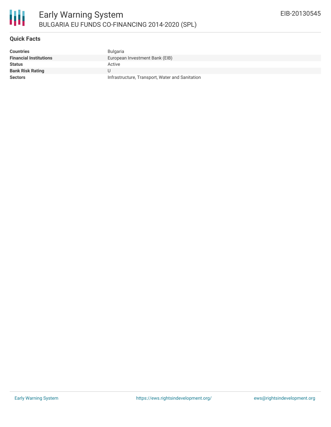

#### **Quick Facts**

| Countries                     | Bulgaria                                        |
|-------------------------------|-------------------------------------------------|
| <b>Financial Institutions</b> | European Investment Bank (EIB)                  |
| Status                        | Active                                          |
| Bank Risk Rating              |                                                 |
| Sectors                       | Infrastructure, Transport, Water and Sanitation |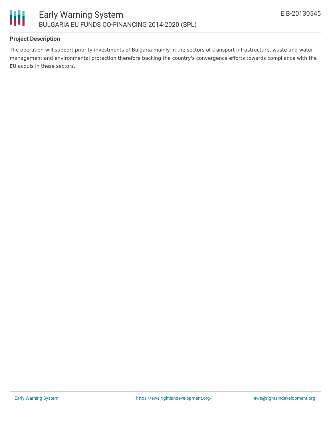

#### **Project Description**

The operation will support priority investments of Bulgaria mainly in the sectors of transport infrastructure, waste and water management and environmental protection therefore backing the country's convergence efforts towards compliance with the EU acquis in these sectors.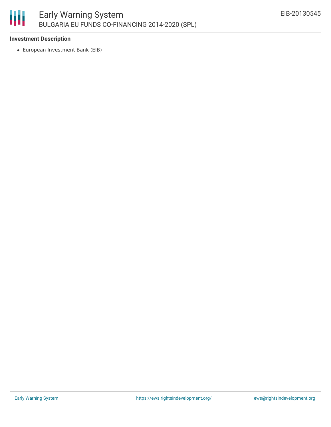

#### **Investment Description**

European Investment Bank (EIB)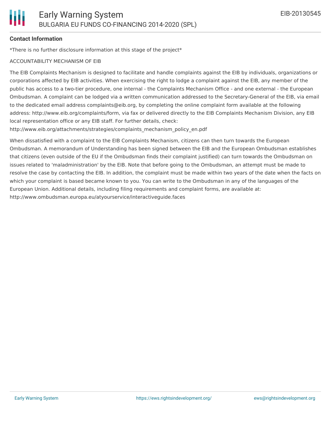#### **Contact Information**

\*There is no further disclosure information at this stage of the project\*

#### ACCOUNTABILITY MECHANISM OF EIB

The EIB Complaints Mechanism is designed to facilitate and handle complaints against the EIB by individuals, organizations or corporations affected by EIB activities. When exercising the right to lodge a complaint against the EIB, any member of the public has access to a two-tier procedure, one internal - the Complaints Mechanism Office - and one external - the European Ombudsman. A complaint can be lodged via a written communication addressed to the Secretary-General of the EIB, via email to the dedicated email address complaints@eib.org, by completing the online complaint form available at the following address: http://www.eib.org/complaints/form, via fax or delivered directly to the EIB Complaints Mechanism Division, any EIB local representation office or any EIB staff. For further details, check:

http://www.eib.org/attachments/strategies/complaints\_mechanism\_policy\_en.pdf

When dissatisfied with a complaint to the EIB Complaints Mechanism, citizens can then turn towards the European Ombudsman. A memorandum of Understanding has been signed between the EIB and the European Ombudsman establishes that citizens (even outside of the EU if the Ombudsman finds their complaint justified) can turn towards the Ombudsman on issues related to 'maladministration' by the EIB. Note that before going to the Ombudsman, an attempt must be made to resolve the case by contacting the EIB. In addition, the complaint must be made within two years of the date when the facts on which your complaint is based became known to you. You can write to the Ombudsman in any of the languages of the European Union. Additional details, including filing requirements and complaint forms, are available at: http://www.ombudsman.europa.eu/atyourservice/interactiveguide.faces